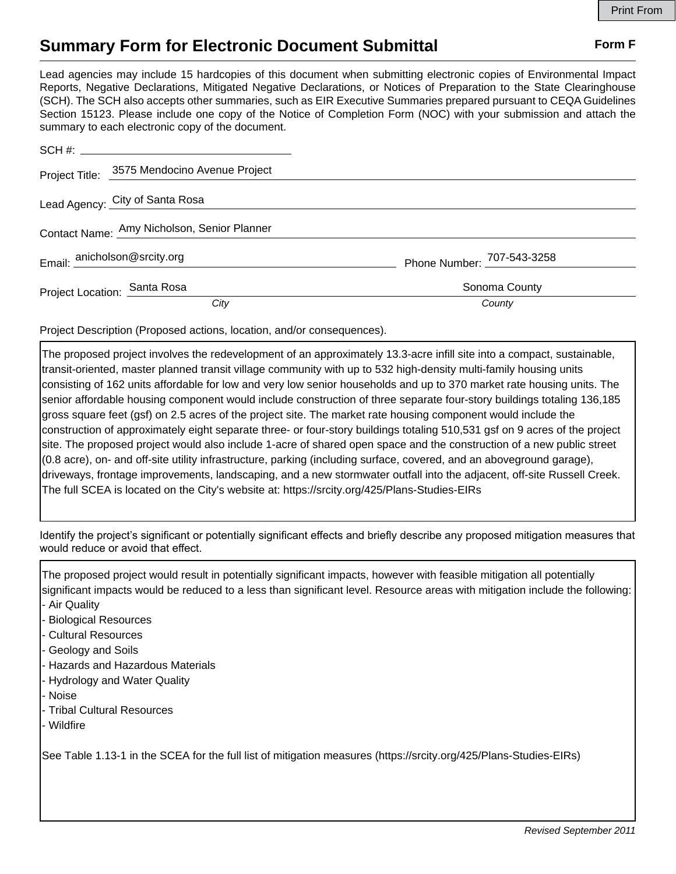## **Summary Form for Electronic Document Submittal Form F Form F**

Lead agencies may include 15 hardcopies of this document when submitting electronic copies of Environmental Impact Reports, Negative Declarations, Mitigated Negative Declarations, or Notices of Preparation to the State Clearinghouse (SCH). The SCH also accepts other summaries, such as EIR Executive Summaries prepared pursuant to CEQA Guidelines Section 15123. Please include one copy of the Notice of Completion Form (NOC) with your submission and attach the summary to each electronic copy of the document.

|                                             | Project Title: 3575 Mendocino Avenue Project |                            |
|---------------------------------------------|----------------------------------------------|----------------------------|
|                                             | Lead Agency: City of Santa Rosa              |                            |
| Contact Name: Amy Nicholson, Senior Planner |                                              |                            |
| Email: anicholson@srcity.org                |                                              | Phone Number: 707-543-3258 |
| Project Location: Santa Rosa                |                                              | Sonoma County              |
|                                             | City                                         | County                     |

Project Description (Proposed actions, location, and/or consequences).

The proposed project involves the redevelopment of an approximately 13.3-acre infill site into a compact, sustainable, transit-oriented, master planned transit village community with up to 532 high-density multi-family housing units consisting of 162 units affordable for low and very low senior households and up to 370 market rate housing units. The senior affordable housing component would include construction of three separate four-story buildings totaling 136,185 gross square feet (gsf) on 2.5 acres of the project site. The market rate housing component would include the construction of approximately eight separate three- or four-story buildings totaling 510,531 gsf on 9 acres of the project site. The proposed project would also include 1-acre of shared open space and the construction of a new public street (0.8 acre), on- and off-site utility infrastructure, parking (including surface, covered, and an aboveground garage), driveways, frontage improvements, landscaping, and a new stormwater outfall into the adjacent, off-site Russell Creek. The full SCEA is located on the City's website at: https://srcity.org/425/Plans-Studies-EIRs

Identify the project's significant or potentially significant effects and briefly describe any proposed mitigation measures that would reduce or avoid that effect.

The proposed project would result in potentially significant impacts, however with feasible mitigation all potentially significant impacts would be reduced to a less than significant level. Resource areas with mitigation include the following:

- Air Quality
- Biological Resources
- Cultural Resources
- Geology and Soils
- Hazards and Hazardous Materials
- Hydrology and Water Quality
- Noise
- Tribal Cultural Resources
- Wildfire

See Table 1.13-1 in the SCEA for the full list of mitigation measures (https://srcity.org/425/Plans-Studies-EIRs)